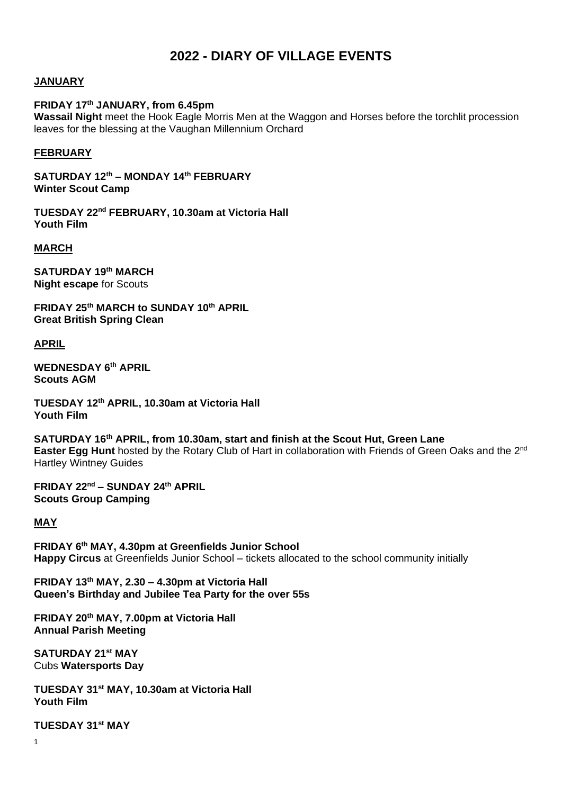# **2022 - DIARY OF VILLAGE EVENTS**

#### **JANUARY**

#### **FRIDAY 17th JANUARY, from 6.45pm**

**Wassail Night** meet the Hook Eagle Morris Men at the Waggon and Horses before the torchlit procession leaves for the blessing at the Vaughan Millennium Orchard

#### **FEBRUARY**

**SATURDAY 12th – MONDAY 14th FEBRUARY Winter Scout Camp**

**TUESDAY 22nd FEBRUARY, 10.30am at Victoria Hall Youth Film**

#### **MARCH**

**SATURDAY 19th MARCH Night escape** for Scouts

**FRIDAY 25th MARCH to SUNDAY 10th APRIL Great British Spring Clean** 

**APRIL**

**WEDNESDAY 6 th APRIL Scouts AGM**

**TUESDAY 12th APRIL, 10.30am at Victoria Hall Youth Film**

**SATURDAY 16th APRIL, from 10.30am, start and finish at the Scout Hut, Green Lane Easter Egg Hunt** hosted by the Rotary Club of Hart in collaboration with Friends of Green Oaks and the 2nd Hartley Wintney Guides

**FRIDAY 22nd – SUNDAY 24th APRIL Scouts Group Camping**

# **MAY**

**FRIDAY 6th MAY, 4.30pm at Greenfields Junior School Happy Circus** at Greenfields Junior School – tickets allocated to the school community initially

**FRIDAY 13 th MAY, 2.30 – 4.30pm at Victoria Hall Queen's Birthday and Jubilee Tea Party for the over 55s**

**FRIDAY 20th MAY, 7.00pm at Victoria Hall Annual Parish Meeting**

**SATURDAY 21st MAY** Cubs **Watersports Day** 

**TUESDAY 31st MAY, 10.30am at Victoria Hall Youth Film**

**TUESDAY 31st MAY**

1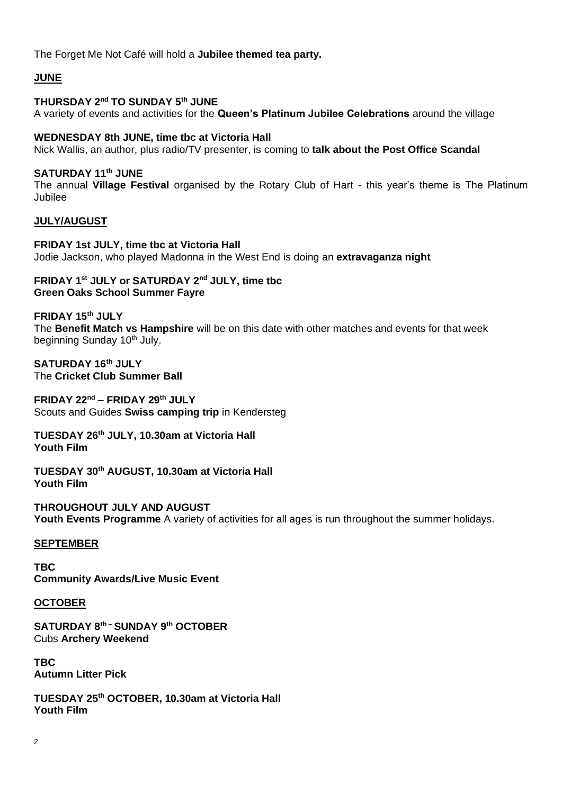The Forget Me Not Café will hold a **Jubilee themed tea party.**

# **JUNE**

# **THURSDAY 2nd TO SUNDAY 5th JUNE**

A variety of events and activities for the **Queen's Platinum Jubilee Celebrations** around the village

# **WEDNESDAY 8th JUNE, time tbc at Victoria Hall**

Nick Wallis, an author, plus radio/TV presenter, is coming to **talk about the Post Office Scandal**

# **SATURDAY 11 th JUNE**

The annual **Village Festival** organised by the Rotary Club of Hart - this year's theme is The Platinum Jubilee

# **JULY/AUGUST**

**FRIDAY 1st JULY, time tbc at Victoria Hall** Jodie Jackson, who played Madonna in the West End is doing an **extravaganza night**

# **FRIDAY 1st JULY or SATURDAY 2nd JULY, time tbc Green Oaks School Summer Fayre**

**FRIDAY 15th JULY**

The **Benefit Match vs Hampshire** will be on this date with other matches and events for that week beginning Sunday 10<sup>th</sup> July.

**SATURDAY 16th JULY** The **Cricket Club Summer Ball**

**FRIDAY 22nd – FRIDAY 29th JULY** Scouts and Guides **Swiss camping trip** in Kendersteg

# **TUESDAY 26 th JULY, 10.30am at Victoria Hall Youth Film**

**TUESDAY 30th AUGUST, 10.30am at Victoria Hall Youth Film**

**THROUGHOUT JULY AND AUGUST Youth Events Programme** A variety of activities for all ages is run throughout the summer holidays.

# **SEPTEMBER**

**TBC Community Awards/Live Music Event**

# **OCTOBER**

**SATURDAY 8th – SUNDAY 9 th OCTOBER**  Cubs **Archery Weekend**

**TBC Autumn Litter Pick**

**TUESDAY 25 th OCTOBER, 10.30am at Victoria Hall Youth Film**